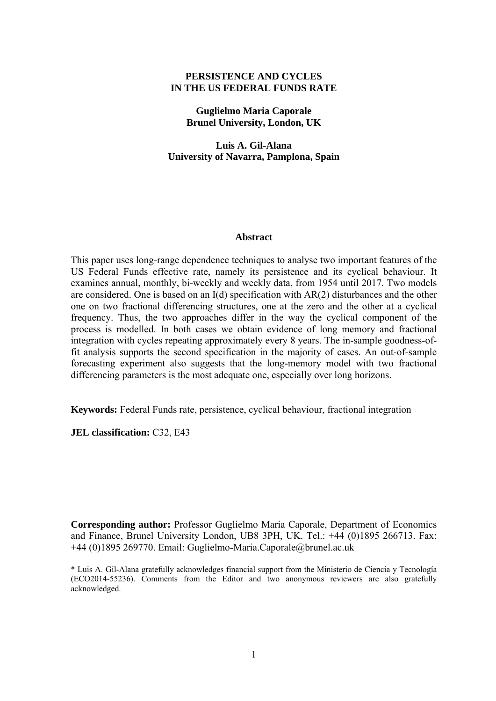## **PERSISTENCE AND CYCLES IN THE US FEDERAL FUNDS RATE**

**Guglielmo Maria Caporale Brunel University, London, UK** 

**Luis A. Gil-Alana University of Navarra, Pamplona, Spain** 

#### **Abstract**

This paper uses long-range dependence techniques to analyse two important features of the US Federal Funds effective rate, namely its persistence and its cyclical behaviour. It examines annual, monthly, bi-weekly and weekly data, from 1954 until 2017. Two models are considered. One is based on an I(d) specification with AR(2) disturbances and the other one on two fractional differencing structures, one at the zero and the other at a cyclical frequency. Thus, the two approaches differ in the way the cyclical component of the process is modelled. In both cases we obtain evidence of long memory and fractional integration with cycles repeating approximately every 8 years. The in-sample goodness-offit analysis supports the second specification in the majority of cases. An out-of-sample forecasting experiment also suggests that the long-memory model with two fractional differencing parameters is the most adequate one, especially over long horizons.

**Keywords:** Federal Funds rate, persistence, cyclical behaviour, fractional integration

**JEL classification:** C32, E43

**Corresponding author:** Professor Guglielmo Maria Caporale, Department of Economics and Finance, Brunel University London, UB8 3PH, UK. Tel.: +44 (0)1895 266713. Fax: +44 (0)1895 269770. Email: Guglielmo-Maria.Caporale@brunel.ac.uk

\* Luis A. Gil-Alana gratefully acknowledges financial support from the Ministerio de Ciencia y Tecnología (ECO2014-55236). Comments from the Editor and two anonymous reviewers are also gratefully acknowledged.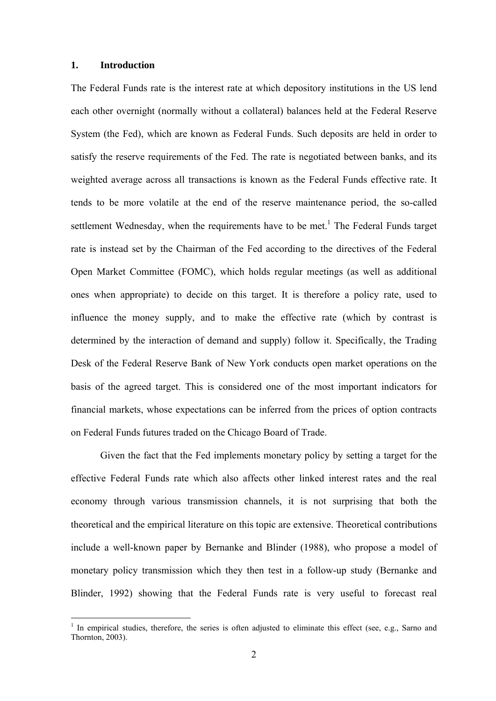### **1. Introduction**

1

The Federal Funds rate is the interest rate at which depository institutions in the US lend each other overnight (normally without a collateral) balances held at the Federal Reserve System (the Fed), which are known as Federal Funds. Such deposits are held in order to satisfy the reserve requirements of the Fed. The rate is negotiated between banks, and its weighted average across all transactions is known as the Federal Funds effective rate. It tends to be more volatile at the end of the reserve maintenance period, the so-called settlement Wednesday, when the requirements have to be met.<sup>1</sup> The Federal Funds target rate is instead set by the Chairman of the Fed according to the directives of the Federal Open Market Committee (FOMC), which holds regular meetings (as well as additional ones when appropriate) to decide on this target. It is therefore a policy rate, used to influence the money supply, and to make the effective rate (which by contrast is determined by the interaction of demand and supply) follow it. Specifically, the Trading Desk of the Federal Reserve Bank of New York conducts open market operations on the basis of the agreed target. This is considered one of the most important indicators for financial markets, whose expectations can be inferred from the prices of option contracts on Federal Funds futures traded on the Chicago Board of Trade.

Given the fact that the Fed implements monetary policy by setting a target for the effective Federal Funds rate which also affects other linked interest rates and the real economy through various transmission channels, it is not surprising that both the theoretical and the empirical literature on this topic are extensive. Theoretical contributions include a well-known paper by Bernanke and Blinder (1988), who propose a model of monetary policy transmission which they then test in a follow-up study (Bernanke and Blinder, 1992) showing that the Federal Funds rate is very useful to forecast real

<sup>&</sup>lt;sup>1</sup> In empirical studies, therefore, the series is often adjusted to eliminate this effect (see, e.g., Sarno and Thornton, 2003).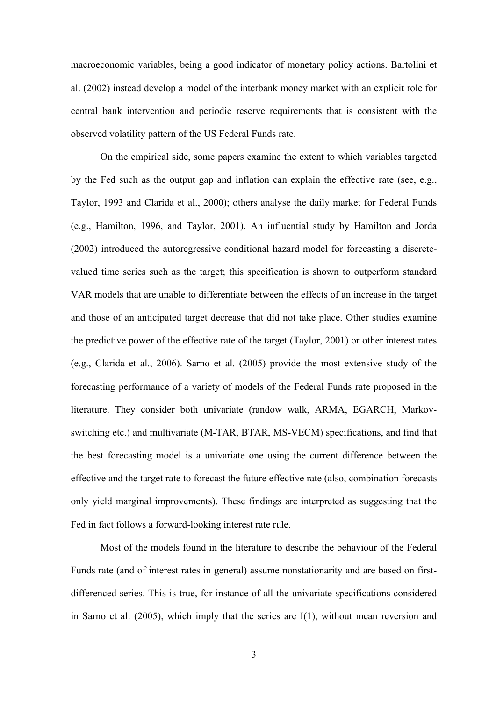macroeconomic variables, being a good indicator of monetary policy actions. Bartolini et al. (2002) instead develop a model of the interbank money market with an explicit role for central bank intervention and periodic reserve requirements that is consistent with the observed volatility pattern of the US Federal Funds rate.

On the empirical side, some papers examine the extent to which variables targeted by the Fed such as the output gap and inflation can explain the effective rate (see, e.g., Taylor, 1993 and Clarida et al., 2000); others analyse the daily market for Federal Funds (e.g., Hamilton, 1996, and Taylor, 2001). An influential study by Hamilton and Jorda (2002) introduced the autoregressive conditional hazard model for forecasting a discretevalued time series such as the target; this specification is shown to outperform standard VAR models that are unable to differentiate between the effects of an increase in the target and those of an anticipated target decrease that did not take place. Other studies examine the predictive power of the effective rate of the target (Taylor, 2001) or other interest rates (e.g., Clarida et al., 2006). Sarno et al. (2005) provide the most extensive study of the forecasting performance of a variety of models of the Federal Funds rate proposed in the literature. They consider both univariate (randow walk, ARMA, EGARCH, Markovswitching etc.) and multivariate (M-TAR, BTAR, MS-VECM) specifications, and find that the best forecasting model is a univariate one using the current difference between the effective and the target rate to forecast the future effective rate (also, combination forecasts only yield marginal improvements). These findings are interpreted as suggesting that the Fed in fact follows a forward-looking interest rate rule.

Most of the models found in the literature to describe the behaviour of the Federal Funds rate (and of interest rates in general) assume nonstationarity and are based on firstdifferenced series. This is true, for instance of all the univariate specifications considered in Sarno et al. (2005), which imply that the series are I(1), without mean reversion and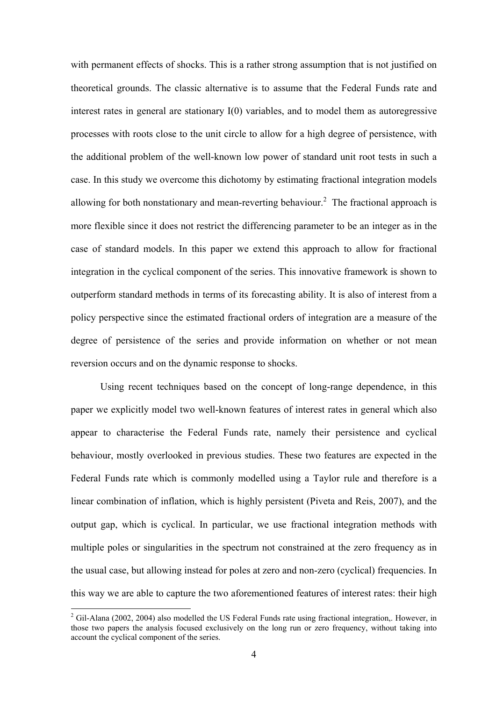with permanent effects of shocks. This is a rather strong assumption that is not justified on theoretical grounds. The classic alternative is to assume that the Federal Funds rate and interest rates in general are stationary I(0) variables, and to model them as autoregressive processes with roots close to the unit circle to allow for a high degree of persistence, with the additional problem of the well-known low power of standard unit root tests in such a case. In this study we overcome this dichotomy by estimating fractional integration models allowing for both nonstationary and mean-reverting behaviour.<sup>2</sup> The fractional approach is more flexible since it does not restrict the differencing parameter to be an integer as in the case of standard models. In this paper we extend this approach to allow for fractional integration in the cyclical component of the series. This innovative framework is shown to outperform standard methods in terms of its forecasting ability. It is also of interest from a policy perspective since the estimated fractional orders of integration are a measure of the degree of persistence of the series and provide information on whether or not mean reversion occurs and on the dynamic response to shocks.

Using recent techniques based on the concept of long-range dependence, in this paper we explicitly model two well-known features of interest rates in general which also appear to characterise the Federal Funds rate, namely their persistence and cyclical behaviour, mostly overlooked in previous studies. These two features are expected in the Federal Funds rate which is commonly modelled using a Taylor rule and therefore is a linear combination of inflation, which is highly persistent (Piveta and Reis, 2007), and the output gap, which is cyclical. In particular, we use fractional integration methods with multiple poles or singularities in the spectrum not constrained at the zero frequency as in the usual case, but allowing instead for poles at zero and non-zero (cyclical) frequencies. In this way we are able to capture the two aforementioned features of interest rates: their high

<sup>&</sup>lt;sup>2</sup> Gil-Alana (2002, 2004) also modelled the US Federal Funds rate using fractional integration,. However, in those two papers the analysis focused exclusively on the long run or zero frequency, without taking into account the cyclical component of the series.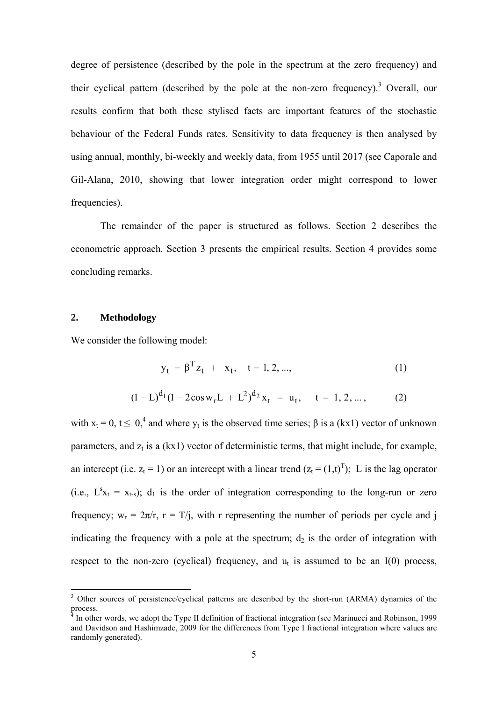degree of persistence (described by the pole in the spectrum at the zero frequency) and their cyclical pattern (described by the pole at the non-zero frequency).<sup>3</sup> Overall, our results confirm that both these stylised facts are important features of the stochastic behaviour of the Federal Funds rates. Sensitivity to data frequency is then analysed by using annual, monthly, bi-weekly and weekly data, from 1955 until 2017 (see Caporale and Gil-Alana, 2010, showing that lower integration order might correspond to lower frequencies).

The remainder of the paper is structured as follows. Section 2 describes the econometric approach. Section 3 presents the empirical results. Section 4 provides some concluding remarks.

### **2. Methodology**

1

We consider the following model:

$$
y_t = \beta^T z_t + x_t, \quad t = 1, 2, ...,
$$
 (1)

$$
(1 - L)^{d_1} (1 - 2\cos w_r L + L^2)^{d_2} x_t = u_t, \quad t = 1, 2, \dots,
$$
 (2)

with  $x_t = 0$ ,  $t \le 0$ ,<sup>4</sup> and where  $y_t$  is the observed time series;  $\beta$  is a (kx1) vector of unknown parameters, and  $z_t$  is a (kx1) vector of deterministic terms, that might include, for example, an intercept (i.e.  $z_t = 1$ ) or an intercept with a linear trend  $(z_t = (1,t)^T)$ ; L is the lag operator (i.e.,  $L^s x_t = x_{t-s}$ );  $d_1$  is the order of integration corresponding to the long-run or zero frequency;  $w_r = 2\pi/r$ ,  $r = T/i$ , with r representing the number of periods per cycle and j indicating the frequency with a pole at the spectrum;  $d_2$  is the order of integration with respect to the non-zero (cyclical) frequency, and  $u_t$  is assumed to be an I(0) process,

<sup>3</sup> Other sources of persistence/cyclical patterns are described by the short-run (ARMA) dynamics of the process.

<sup>&</sup>lt;sup>4</sup> In other words, we adopt the Type II definition of fractional integration (see Marinucci and Robinson, 1999 and Davidson and Hashimzade, 2009 for the differences from Type I fractional integration where values are randomly generated).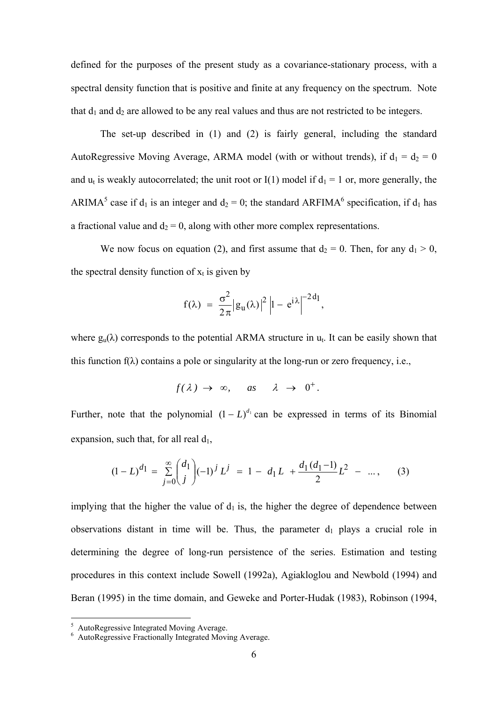defined for the purposes of the present study as a covariance-stationary process, with a spectral density function that is positive and finite at any frequency on the spectrum. Note that  $d_1$  and  $d_2$  are allowed to be any real values and thus are not restricted to be integers.

 The set-up described in (1) and (2) is fairly general, including the standard AutoRegressive Moving Average, ARMA model (with or without trends), if  $d_1 = d_2 = 0$ and  $u_t$  is weakly autocorrelated; the unit root or I(1) model if  $d_1 = 1$  or, more generally, the ARIMA<sup>5</sup> case if  $d_1$  is an integer and  $d_2 = 0$ ; the standard ARFIMA<sup>6</sup> specification, if  $d_1$  has a fractional value and  $d_2 = 0$ , along with other more complex representations.

We now focus on equation (2), and first assume that  $d_2 = 0$ . Then, for any  $d_1 > 0$ , the spectral density function of  $x_t$  is given by

$$
f(\lambda) = \frac{\sigma^2}{2\pi} |g_u(\lambda)|^2 |1 - e^{i\lambda}|^{-2d_1},
$$

where  $g_{\rm u}(\lambda)$  corresponds to the potential ARMA structure in  $u_{\rm t}$ . It can be easily shown that this function  $f(\lambda)$  contains a pole or singularity at the long-run or zero frequency, i.e.,

$$
f(\lambda) \rightarrow \infty
$$
, as  $\lambda \rightarrow 0^+$ .

Further, note that the polynomial  $(1 - L)^{d_1}$  can be expressed in terms of its Binomial expansion, such that, for all real  $d_1$ ,

$$
(1 - L)^{d_1} = \sum_{j=0}^{\infty} {d_1 \choose j} (-1)^j L^j = 1 - d_1 L + \frac{d_1(d_1 - 1)}{2} L^2 - \dots, \qquad (3)
$$

implying that the higher the value of  $d_1$  is, the higher the degree of dependence between observations distant in time will be. Thus, the parameter  $d_1$  plays a crucial role in determining the degree of long-run persistence of the series. Estimation and testing procedures in this context include Sowell (1992a), Agiakloglou and Newbold (1994) and Beran (1995) in the time domain, and Geweke and Porter-Hudak (1983), Robinson (1994,

 5 AutoRegressive Integrated Moving Average. 6 AutoRegressive Fractionally Integrated Moving Average.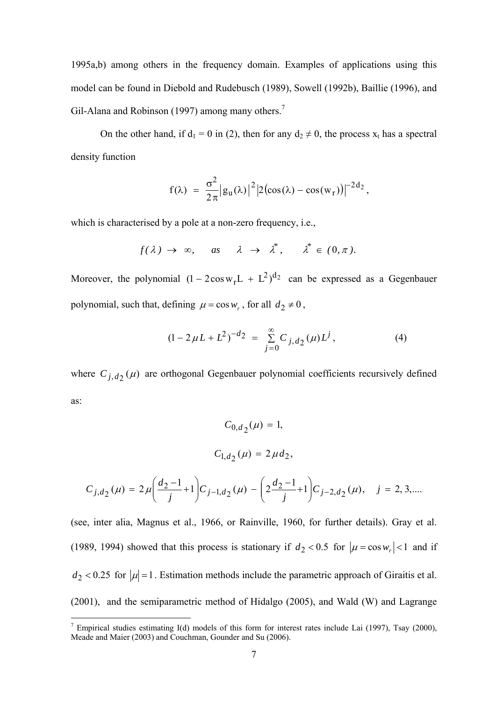1995a,b) among others in the frequency domain. Examples of applications using this model can be found in Diebold and Rudebusch (1989), Sowell (1992b), Baillie (1996), and Gil-Alana and Robinson (1997) among many others.<sup>7</sup>

On the other hand, if  $d_1 = 0$  in (2), then for any  $d_2 \neq 0$ , the process  $x_t$  has a spectral density function

$$
f(\lambda) = \frac{\sigma^2}{2\pi} |g_u(\lambda)|^2 |2(\cos(\lambda) - \cos(w_r))|^{-2d_2},
$$

which is characterised by a pole at a non-zero frequency, *i.e.*,

$$
f(\lambda) \rightarrow \infty
$$
, as  $\lambda \rightarrow \lambda^*$ ,  $\lambda^* \in (0, \pi)$ .

Moreover, the polynomial  $(1 - 2\cos w_r L + L^2)^{d_2}$  can be expressed as a Gegenbauer polynomial, such that, defining  $\mu = \cos w_r$ , for all  $d_2 \neq 0$ ,

$$
(1 - 2\,\mu L + L^2)^{-d_2} = \sum_{j=0}^{\infty} C_{j,d_2}(\mu) L^j, \tag{4}
$$

where  $C_{j, d_2}(\mu)$  are orthogonal Gegenbauer polynomial coefficients recursively defined as:

$$
C_{0,d_2}(\mu) = 1,
$$
  
\n
$$
C_{1,d_2}(\mu) = 2\mu d_2,
$$
  
\n
$$
C_{j,d_2}(\mu) = 2\mu \left(\frac{d_2 - 1}{j} + 1\right) C_{j-1,d_2}(\mu) - \left(2\frac{d_2 - 1}{j} + 1\right) C_{j-2,d_2}(\mu), \quad j = 2, 3,...
$$
  
\n(see, inter alia, Magnus et al., 1966, or Rainville, 1960, for further details). Gray et al.

(1989, 1994) showed that this process is stationary if  $d_2 < 0.5$  for  $|\mu = \cos w_r| < 1$  and if  $d_2$  < 0.25 for  $|\mu|=1$ . Estimation methods include the parametric approach of Giraitis et al. (2001), and the semiparametric method of Hidalgo (2005), and Wald (W) and Lagrange

<sup>&</sup>lt;sup>7</sup> Empirical studies estimating I(d) models of this form for interest rates include Lai (1997), Tsay (2000), Meade and Maier (2003) and Couchman, Gounder and Su (2006).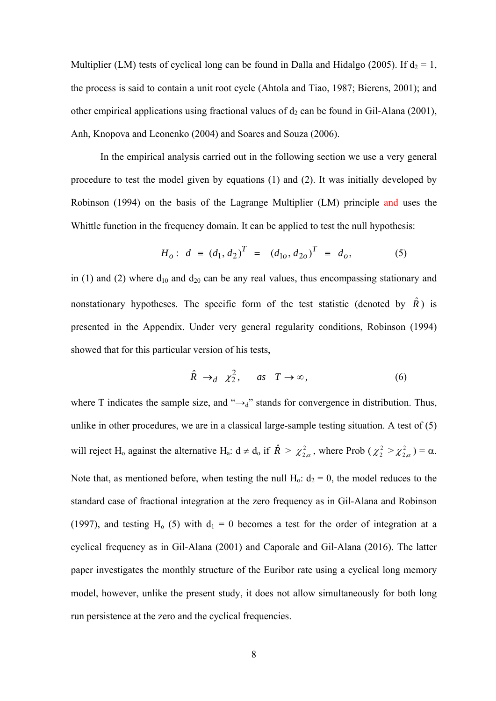Multiplier (LM) tests of cyclical long can be found in Dalla and Hidalgo (2005). If  $d_2 = 1$ , the process is said to contain a unit root cycle (Ahtola and Tiao, 1987; Bierens, 2001); and other empirical applications using fractional values of  $d_2$  can be found in Gil-Alana (2001), Anh, Knopova and Leonenko (2004) and Soares and Souza (2006).

 In the empirical analysis carried out in the following section we use a very general procedure to test the model given by equations (1) and (2). It was initially developed by Robinson (1994) on the basis of the Lagrange Multiplier (LM) principle and uses the Whittle function in the frequency domain. It can be applied to test the null hypothesis:

$$
H_o: d \equiv (d_1, d_2)^T = (d_{1o}, d_{2o})^T \equiv d_o,
$$
 (5)

in (1) and (2) where  $d_{10}$  and  $d_{20}$  can be any real values, thus encompassing stationary and nonstationary hypotheses. The specific form of the test statistic (denoted by  $\hat{R}$ ) is presented in the Appendix. Under very general regularity conditions, Robinson (1994) showed that for this particular version of his tests,

$$
\hat{R} \to_d \chi_2^2, \quad \text{as} \quad T \to \infty,\tag{6}
$$

where T indicates the sample size, and " $\rightarrow_d$ " stands for convergence in distribution. Thus, unlike in other procedures, we are in a classical large-sample testing situation. A test of (5) will reject H<sub>0</sub> against the alternative H<sub>a</sub>:  $d \neq d_0$  if  $\hat{R} > \chi^2_{2,\alpha}$ , where Prob  $(\chi^2_{2} > \chi^2_{2,\alpha}) = \alpha$ . Note that, as mentioned before, when testing the null  $H_0$ :  $d_2 = 0$ , the model reduces to the standard case of fractional integration at the zero frequency as in Gil-Alana and Robinson (1997), and testing H<sub>0</sub> (5) with  $d_1 = 0$  becomes a test for the order of integration at a cyclical frequency as in Gil-Alana (2001) and Caporale and Gil-Alana (2016). The latter paper investigates the monthly structure of the Euribor rate using a cyclical long memory model, however, unlike the present study, it does not allow simultaneously for both long run persistence at the zero and the cyclical frequencies.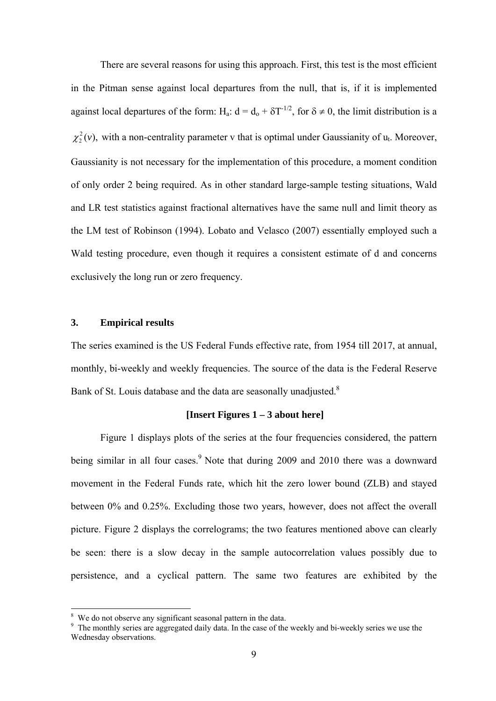There are several reasons for using this approach. First, this test is the most efficient in the Pitman sense against local departures from the null, that is, if it is implemented against local departures of the form: H<sub>a</sub>:  $d = d_0 + \delta T^{-1/2}$ , for  $\delta \neq 0$ , the limit distribution is a  $\chi^2$ (*v*), with a non-centrality parameter v that is optimal under Gaussianity of  $u_t$ . Moreover, Gaussianity is not necessary for the implementation of this procedure, a moment condition of only order 2 being required. As in other standard large-sample testing situations, Wald and LR test statistics against fractional alternatives have the same null and limit theory as the LM test of Robinson (1994). Lobato and Velasco (2007) essentially employed such a Wald testing procedure, even though it requires a consistent estimate of d and concerns exclusively the long run or zero frequency.

#### **3. Empirical results**

1

The series examined is the US Federal Funds effective rate, from 1954 till 2017, at annual, monthly, bi-weekly and weekly frequencies. The source of the data is the Federal Reserve Bank of St. Louis database and the data are seasonally unadjusted.<sup>8</sup>

# **[Insert Figures 1 – 3 about here]**

Figure 1 displays plots of the series at the four frequencies considered, the pattern being similar in all four cases.<sup>9</sup> Note that during 2009 and 2010 there was a downward movement in the Federal Funds rate, which hit the zero lower bound (ZLB) and stayed between 0% and 0.25%. Excluding those two years, however, does not affect the overall picture. Figure 2 displays the correlograms; the two features mentioned above can clearly be seen: there is a slow decay in the sample autocorrelation values possibly due to persistence, and a cyclical pattern. The same two features are exhibited by the

<sup>8</sup> We do not observe any significant seasonal pattern in the data.

<sup>&</sup>lt;sup>9</sup> The monthly series are aggregated daily data. In the case of the weekly and bi-weekly series we use the Wednesday observations.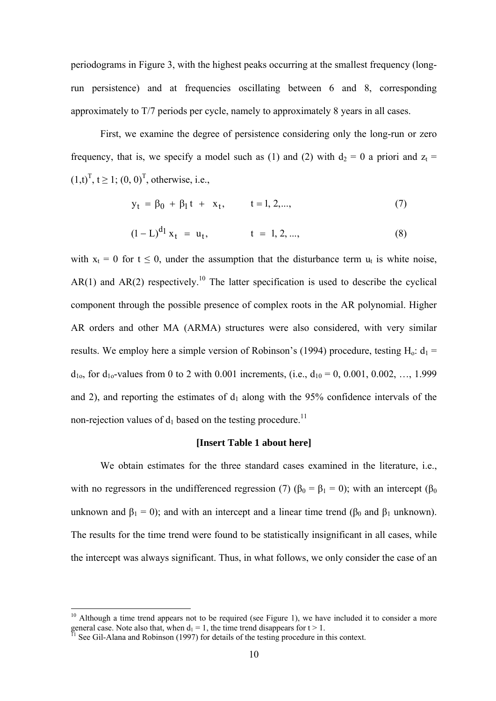periodograms in Figure 3, with the highest peaks occurring at the smallest frequency (longrun persistence) and at frequencies oscillating between 6 and 8, corresponding approximately to T/7 periods per cycle, namely to approximately 8 years in all cases.

First, we examine the degree of persistence considering only the long-run or zero frequency, that is, we specify a model such as (1) and (2) with  $d_2 = 0$  a priori and  $z_t =$  $(1,t)^T$ ,  $t \ge 1$ ;  $(0, 0)^T$ , otherwise, i.e.,

$$
y_t = \beta_0 + \beta_1 t + x_t, \qquad t = 1, 2, \dots,
$$
 (7)

$$
(1 - L)^{d_1} x_t = u_t, \qquad t = 1, 2, ..., \qquad (8)
$$

with  $x_t = 0$  for  $t \le 0$ , under the assumption that the disturbance term  $u_t$  is white noise,  $AR(1)$  and  $AR(2)$  respectively.<sup>10</sup> The latter specification is used to describe the cyclical component through the possible presence of complex roots in the AR polynomial. Higher AR orders and other MA (ARMA) structures were also considered, with very similar results. We employ here a simple version of Robinson's (1994) procedure, testing  $H_0$ :  $d_1$  =  $d_{10}$ , for  $d_{10}$ -values from 0 to 2 with 0.001 increments, (i.e.,  $d_{10} = 0$ , 0.001, 0.002, ..., 1.999 and 2), and reporting the estimates of  $d_1$  along with the 95% confidence intervals of the non-rejection values of  $d_1$  based on the testing procedure.<sup>11</sup>

## **[Insert Table 1 about here]**

 We obtain estimates for the three standard cases examined in the literature, i.e., with no regressors in the undifferenced regression (7) ( $\beta_0 = \beta_1 = 0$ ); with an intercept ( $\beta_0$ ) unknown and  $\beta_1 = 0$ ); and with an intercept and a linear time trend ( $\beta_0$  and  $\beta_1$  unknown). The results for the time trend were found to be statistically insignificant in all cases, while the intercept was always significant. Thus, in what follows, we only consider the case of an

 $10$  Although a time trend appears not to be required (see Figure 1), we have included it to consider a more general case. Note also that, when  $d_1 = 1$ , the time trend disappears for  $t > 1$ .<br><sup>11</sup> See Gil-Alana and Robinson (1997) for details of the testing procedure in this context.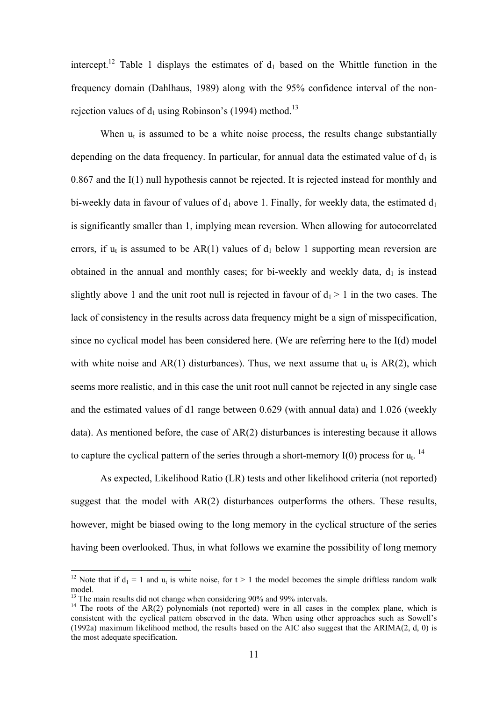intercept.<sup>12</sup> Table 1 displays the estimates of  $d_1$  based on the Whittle function in the frequency domain (Dahlhaus, 1989) along with the 95% confidence interval of the nonrejection values of  $d_1$  using Robinson's (1994) method.<sup>13</sup>

When  $u_t$  is assumed to be a white noise process, the results change substantially depending on the data frequency. In particular, for annual data the estimated value of  $d_1$  is 0.867 and the I(1) null hypothesis cannot be rejected. It is rejected instead for monthly and bi-weekly data in favour of values of  $d_1$  above 1. Finally, for weekly data, the estimated  $d_1$ is significantly smaller than 1, implying mean reversion. When allowing for autocorrelated errors, if  $u_t$  is assumed to be AR(1) values of  $d_1$  below 1 supporting mean reversion are obtained in the annual and monthly cases; for bi-weekly and weekly data,  $d_1$  is instead slightly above 1 and the unit root null is rejected in favour of  $d_1 > 1$  in the two cases. The lack of consistency in the results across data frequency might be a sign of misspecification, since no cyclical model has been considered here. (We are referring here to the I(d) model with white noise and  $AR(1)$  disturbances). Thus, we next assume that  $u_t$  is  $AR(2)$ , which seems more realistic, and in this case the unit root null cannot be rejected in any single case and the estimated values of d1 range between 0.629 (with annual data) and 1.026 (weekly data). As mentioned before, the case of AR(2) disturbances is interesting because it allows to capture the cyclical pattern of the series through a short-memory I(0) process for  $u_t$ .<sup>14</sup>

 As expected, Likelihood Ratio (LR) tests and other likelihood criteria (not reported) suggest that the model with  $AR(2)$  disturbances outperforms the others. These results, however, might be biased owing to the long memory in the cyclical structure of the series having been overlooked. Thus, in what follows we examine the possibility of long memory

<sup>&</sup>lt;sup>12</sup> Note that if  $d_1 = 1$  and  $u_t$  is white noise, for  $t > 1$  the model becomes the simple driftless random walk model.

<sup>&</sup>lt;sup>13</sup> The main results did not change when considering 90% and 99% intervals.

 $14$  The roots of the AR(2) polynomials (not reported) were in all cases in the complex plane, which is consistent with the cyclical pattern observed in the data. When using other approaches such as Sowell's (1992a) maximum likelihood method, the results based on the AIC also suggest that the ARIMA(2, d, 0) is the most adequate specification.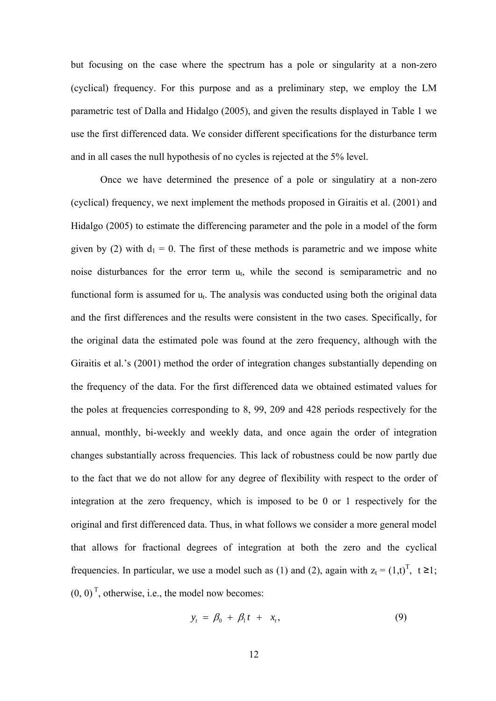but focusing on the case where the spectrum has a pole or singularity at a non-zero (cyclical) frequency. For this purpose and as a preliminary step, we employ the LM parametric test of Dalla and Hidalgo (2005), and given the results displayed in Table 1 we use the first differenced data. We consider different specifications for the disturbance term and in all cases the null hypothesis of no cycles is rejected at the 5% level.

Once we have determined the presence of a pole or singulatiry at a non-zero (cyclical) frequency, we next implement the methods proposed in Giraitis et al. (2001) and Hidalgo (2005) to estimate the differencing parameter and the pole in a model of the form given by (2) with  $d_1 = 0$ . The first of these methods is parametric and we impose white noise disturbances for the error term  $u_t$ , while the second is semiparametric and no functional form is assumed for  $u_t$ . The analysis was conducted using both the original data and the first differences and the results were consistent in the two cases. Specifically, for the original data the estimated pole was found at the zero frequency, although with the Giraitis et al.'s (2001) method the order of integration changes substantially depending on the frequency of the data. For the first differenced data we obtained estimated values for the poles at frequencies corresponding to 8, 99, 209 and 428 periods respectively for the annual, monthly, bi-weekly and weekly data, and once again the order of integration changes substantially across frequencies. This lack of robustness could be now partly due to the fact that we do not allow for any degree of flexibility with respect to the order of integration at the zero frequency, which is imposed to be 0 or 1 respectively for the original and first differenced data. Thus, in what follows we consider a more general model that allows for fractional degrees of integration at both the zero and the cyclical frequencies. In particular, we use a model such as (1) and (2), again with  $z_t = (1,t)^T$ ,  $t \ge 1$ ;  $(0, 0)$ <sup>T</sup>, otherwise, i.e., the model now becomes:

$$
y_t = \beta_0 + \beta_1 t + x_t, \qquad (9)
$$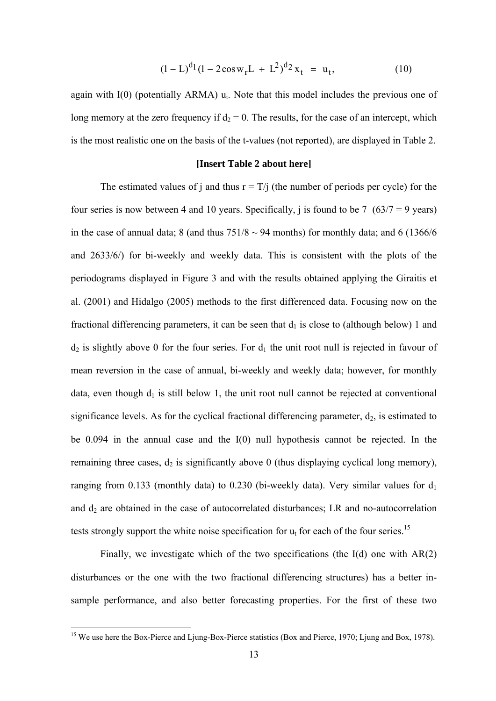$$
(1 - L)^{d_1} (1 - 2\cos w_r L + L^2)^{d_2} x_t = u_t,
$$
\n(10)

again with  $I(0)$  (potentially ARMA)  $u_t$ . Note that this model includes the previous one of long memory at the zero frequency if  $d_2 = 0$ . The results, for the case of an intercept, which is the most realistic one on the basis of the t-values (not reported), are displayed in Table 2.

#### **[Insert Table 2 about here]**

The estimated values of j and thus  $r = T/i$  (the number of periods per cycle) for the four series is now between 4 and 10 years. Specifically, j is found to be 7  $(63/7 = 9$  years) in the case of annual data; 8 (and thus  $751/8 \sim 94$  months) for monthly data; and 6 (1366/6) and 2633/6/) for bi-weekly and weekly data. This is consistent with the plots of the periodograms displayed in Figure 3 and with the results obtained applying the Giraitis et al. (2001) and Hidalgo (2005) methods to the first differenced data. Focusing now on the fractional differencing parameters, it can be seen that  $d_1$  is close to (although below) 1 and  $d_2$  is slightly above 0 for the four series. For  $d_1$  the unit root null is rejected in favour of mean reversion in the case of annual, bi-weekly and weekly data; however, for monthly data, even though  $d_1$  is still below 1, the unit root null cannot be rejected at conventional significance levels. As for the cyclical fractional differencing parameter,  $d_2$ , is estimated to be 0.094 in the annual case and the I(0) null hypothesis cannot be rejected. In the remaining three cases,  $d_2$  is significantly above 0 (thus displaying cyclical long memory), ranging from 0.133 (monthly data) to 0.230 (bi-weekly data). Very similar values for  $d_1$ and  $d_2$  are obtained in the case of autocorrelated disturbances; LR and no-autocorrelation tests strongly support the white noise specification for  $u_t$  for each of the four series.<sup>15</sup>

 Finally, we investigate which of the two specifications (the I(d) one with AR(2) disturbances or the one with the two fractional differencing structures) has a better insample performance, and also better forecasting properties. For the first of these two

<sup>&</sup>lt;sup>15</sup> We use here the Box-Pierce and Ljung-Box-Pierce statistics (Box and Pierce, 1970; Ljung and Box, 1978).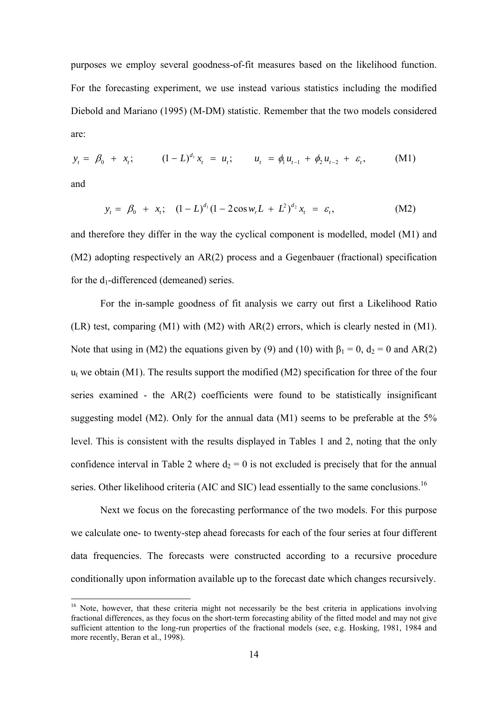purposes we employ several goodness-of-fit measures based on the likelihood function. For the forecasting experiment, we use instead various statistics including the modified Diebold and Mariano (1995) (M-DM) statistic. Remember that the two models considered are:

$$
y_t = \beta_0 + x_t; \qquad (1 - L)^{d_1} x_t = u_t; \qquad u_t = \phi_1 u_{t-1} + \phi_2 u_{t-2} + \varepsilon_t, \qquad (M1)
$$

and

1

$$
y_t = \beta_0 + x_t; \quad (1 - L)^{d_1} (1 - 2\cos w_r L + L^2)^{d_2} x_t = \varepsilon_t, \tag{M2}
$$

and therefore they differ in the way the cyclical component is modelled, model (M1) and (M2) adopting respectively an AR(2) process and a Gegenbauer (fractional) specification for the  $d_1$ -differenced (demeaned) series.

 For the in-sample goodness of fit analysis we carry out first a Likelihood Ratio (LR) test, comparing (M1) with (M2) with AR(2) errors, which is clearly nested in (M1). Note that using in (M2) the equations given by (9) and (10) with  $\beta_1 = 0$ ,  $d_2 = 0$  and AR(2)  $u_t$  we obtain (M1). The results support the modified (M2) specification for three of the four series examined - the AR(2) coefficients were found to be statistically insignificant suggesting model (M2). Only for the annual data (M1) seems to be preferable at the 5% level. This is consistent with the results displayed in Tables 1 and 2, noting that the only confidence interval in Table 2 where  $d_2 = 0$  is not excluded is precisely that for the annual series. Other likelihood criteria (AIC and SIC) lead essentially to the same conclusions.<sup>16</sup>

 Next we focus on the forecasting performance of the two models. For this purpose we calculate one- to twenty-step ahead forecasts for each of the four series at four different data frequencies. The forecasts were constructed according to a recursive procedure conditionally upon information available up to the forecast date which changes recursively.

 $16$  Note, however, that these criteria might not necessarily be the best criteria in applications involving fractional differences, as they focus on the short-term forecasting ability of the fitted model and may not give sufficient attention to the long-run properties of the fractional models (see, e.g. Hosking, 1981, 1984 and more recently. Beran et al., 1998).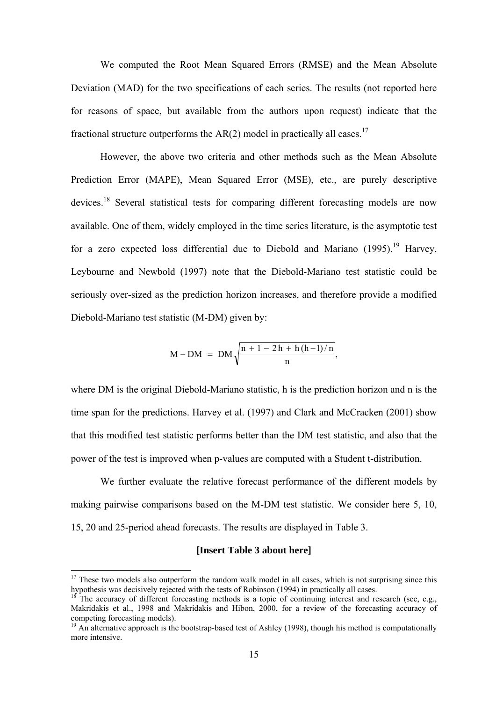We computed the Root Mean Squared Errors (RMSE) and the Mean Absolute Deviation (MAD) for the two specifications of each series. The results (not reported here for reasons of space, but available from the authors upon request) indicate that the fractional structure outperforms the  $AR(2)$  model in practically all cases.<sup>17</sup>

However, the above two criteria and other methods such as the Mean Absolute Prediction Error (MAPE), Mean Squared Error (MSE), etc., are purely descriptive devices.<sup>18</sup> Several statistical tests for comparing different forecasting models are now available. One of them, widely employed in the time series literature, is the asymptotic test for a zero expected loss differential due to Diebold and Mariano (1995).<sup>19</sup> Harvey, Leybourne and Newbold (1997) note that the Diebold-Mariano test statistic could be seriously over-sized as the prediction horizon increases, and therefore provide a modified Diebold-Mariano test statistic (M-DM) given by:

$$
M - DM = DM \sqrt{\frac{n + 1 - 2h + h(h - 1)/n}{n}},
$$

where DM is the original Diebold-Mariano statistic, h is the prediction horizon and n is the time span for the predictions. Harvey et al. (1997) and Clark and McCracken (2001) show that this modified test statistic performs better than the DM test statistic, and also that the power of the test is improved when p-values are computed with a Student t-distribution.

We further evaluate the relative forecast performance of the different models by making pairwise comparisons based on the M-DM test statistic. We consider here 5, 10, 15, 20 and 25-period ahead forecasts. The results are displayed in Table 3.

#### **[Insert Table 3 about here]**

 $17$  These two models also outperform the random walk model in all cases, which is not surprising since this hypothesis was decisively rejected with the tests of Robinson (1994) in practically all cases.<br><sup>18</sup> The accuracy of different forecasting methods is a topic of continuing interest and research (see, e.g.,

Makridakis et al., 1998 and Makridakis and Hibon, 2000, for a review of the forecasting accuracy of competing forecasting models).

 $19$  An alternative approach is the bootstrap-based test of Ashley (1998), though his method is computationally more intensive.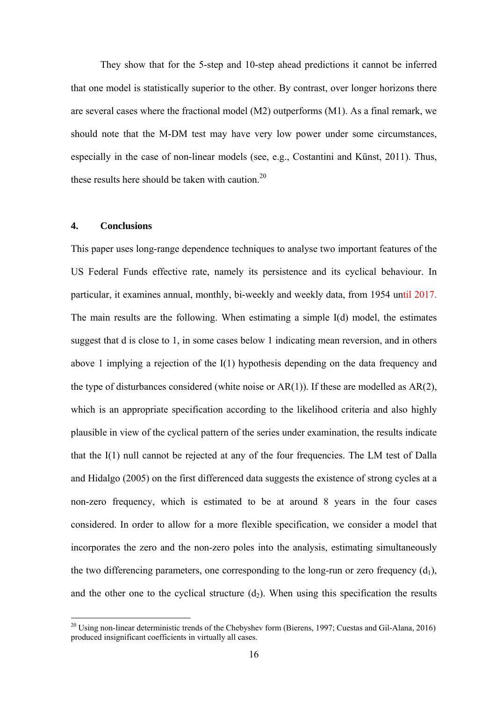They show that for the 5-step and 10-step ahead predictions it cannot be inferred that one model is statistically superior to the other. By contrast, over longer horizons there are several cases where the fractional model (M2) outperforms (M1). As a final remark, we should note that the M-DM test may have very low power under some circumstances, especially in the case of non-linear models (see, e.g., Costantini and Künst, 2011). Thus, these results here should be taken with caution  $20$ 

### **4. Conclusions**

1

This paper uses long-range dependence techniques to analyse two important features of the US Federal Funds effective rate, namely its persistence and its cyclical behaviour. In particular, it examines annual, monthly, bi-weekly and weekly data, from 1954 until 2017. The main results are the following. When estimating a simple I(d) model, the estimates suggest that d is close to 1, in some cases below 1 indicating mean reversion, and in others above 1 implying a rejection of the I(1) hypothesis depending on the data frequency and the type of disturbances considered (white noise or  $AR(1)$ ). If these are modelled as  $AR(2)$ , which is an appropriate specification according to the likelihood criteria and also highly plausible in view of the cyclical pattern of the series under examination, the results indicate that the I(1) null cannot be rejected at any of the four frequencies. The LM test of Dalla and Hidalgo (2005) on the first differenced data suggests the existence of strong cycles at a non-zero frequency, which is estimated to be at around 8 years in the four cases considered. In order to allow for a more flexible specification, we consider a model that incorporates the zero and the non-zero poles into the analysis, estimating simultaneously the two differencing parameters, one corresponding to the long-run or zero frequency  $(d_1)$ , and the other one to the cyclical structure  $(d_2)$ . When using this specification the results

<sup>&</sup>lt;sup>20</sup> Using non-linear deterministic trends of the Chebyshev form (Bierens, 1997; Cuestas and Gil-Alana, 2016) produced insignificant coefficients in virtually all cases.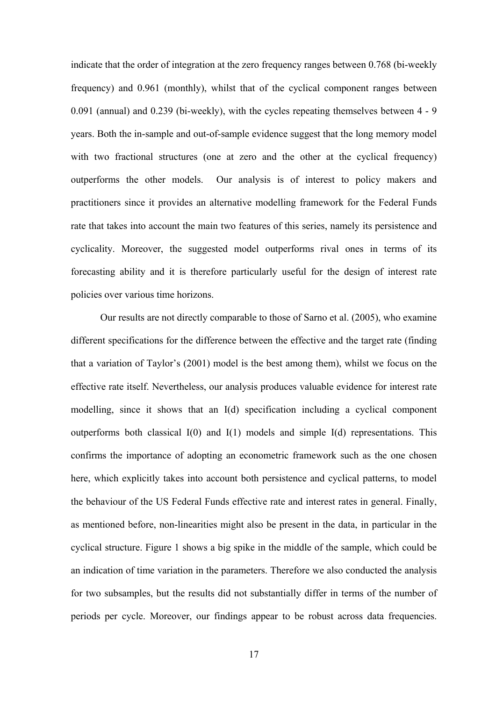indicate that the order of integration at the zero frequency ranges between 0.768 (bi-weekly frequency) and 0.961 (monthly), whilst that of the cyclical component ranges between 0.091 (annual) and 0.239 (bi-weekly), with the cycles repeating themselves between 4 - 9 years. Both the in-sample and out-of-sample evidence suggest that the long memory model with two fractional structures (one at zero and the other at the cyclical frequency) outperforms the other models. Our analysis is of interest to policy makers and practitioners since it provides an alternative modelling framework for the Federal Funds rate that takes into account the main two features of this series, namely its persistence and cyclicality. Moreover, the suggested model outperforms rival ones in terms of its forecasting ability and it is therefore particularly useful for the design of interest rate policies over various time horizons.

 Our results are not directly comparable to those of Sarno et al. (2005), who examine different specifications for the difference between the effective and the target rate (finding that a variation of Taylor's (2001) model is the best among them), whilst we focus on the effective rate itself. Nevertheless, our analysis produces valuable evidence for interest rate modelling, since it shows that an I(d) specification including a cyclical component outperforms both classical  $I(0)$  and  $I(1)$  models and simple  $I(d)$  representations. This confirms the importance of adopting an econometric framework such as the one chosen here, which explicitly takes into account both persistence and cyclical patterns, to model the behaviour of the US Federal Funds effective rate and interest rates in general. Finally, as mentioned before, non-linearities might also be present in the data, in particular in the cyclical structure. Figure 1 shows a big spike in the middle of the sample, which could be an indication of time variation in the parameters. Therefore we also conducted the analysis for two subsamples, but the results did not substantially differ in terms of the number of periods per cycle. Moreover, our findings appear to be robust across data frequencies.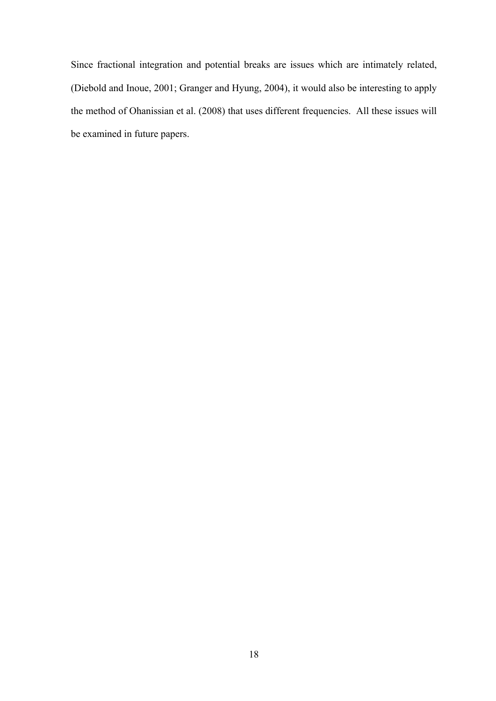Since fractional integration and potential breaks are issues which are intimately related, (Diebold and Inoue, 2001; Granger and Hyung, 2004), it would also be interesting to apply the method of Ohanissian et al. (2008) that uses different frequencies. All these issues will be examined in future papers.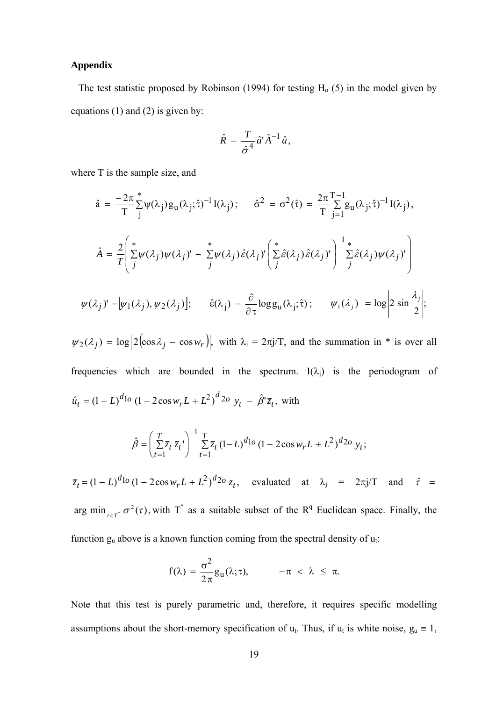## **Appendix**

The test statistic proposed by Robinson (1994) for testing  $H_0$  (5) in the model given by equations (1) and (2) is given by:

$$
\hat{R} = \frac{T}{\hat{\sigma}^4} \hat{a}^{\dagger} \hat{A}^{-1} \hat{a},
$$

where T is the sample size, and

$$
\hat{a} = \frac{-2\pi}{T} \sum_{j}^{*} \psi(\lambda_{j}) g_{u}(\lambda_{j}; \hat{\tau})^{-1} I(\lambda_{j}); \quad \hat{\sigma}^{2} = \sigma^{2}(\hat{\tau}) = \frac{2\pi}{T} \sum_{j=1}^{T-1} g_{u}(\lambda_{j}; \hat{\tau})^{-1} I(\lambda_{j}),
$$

$$
\hat{A} = \frac{2}{T} \left( \sum_{j}^{*} \psi(\lambda_{j}) \psi(\lambda_{j})' - \sum_{j}^{*} \psi(\lambda_{j}) \hat{\epsilon}(\lambda_{j})' \left( \sum_{j}^{*} \hat{\epsilon}(\lambda_{j}) \hat{\epsilon}(\lambda_{j})' \right) \right)^{-1} \sum_{j}^{*} \hat{\epsilon}(\lambda_{j}) \psi(\lambda_{j})' \right)
$$

$$
\psi(\lambda_{j})' = [\psi_{1}(\lambda_{j}), \psi_{2}(\lambda_{j})]; \quad \hat{\epsilon}(\lambda_{j}) = \frac{\partial}{\partial \tau} \log g_{u}(\lambda_{j}; \hat{\tau}); \quad \psi_{1}(\lambda_{j}) = \log \left| 2 \sin \frac{\lambda_{j}}{2} \right|;
$$

 $\psi_2(\lambda_j) = \log \left| 2 \left( \cos \lambda_j - \cos w_r \right) \right|$ , with  $\lambda_j = 2\pi j/T$ , and the summation in \* is over all frequencies which are bounded in the spectrum.  $I(\lambda_i)$  is the periodogram of  $\hat{u}_t = (1 - L)^{d_{1o}} (1 - 2\cos w_r L + L^2)^{d_{2o}} y_t - \hat{\beta}^{\dagger} \bar{z}_t$ , with

$$
\hat{\beta} = \left(\sum_{t=1}^{T} \overline{z}_t \,\overline{z}_t\right)^{-1} \sum_{t=1}^{T} \overline{z}_t (1 - L)^{d_{1o}} (1 - 2\cos w_r L + L^2)^{d_{2o}} y_t;
$$

 $\bar{z}_t = (1 - L)^{d_{10}} (1 - 2 \cos w_r L + L^2)^{d_{20}} z_t$ , evaluated at  $\lambda_j = 2\pi j/T$  and  $\hat{r} =$ arg min<sub> $\tau \in T^*$ </sub>  $\sigma^2(\tau)$ , with T<sup>\*</sup> as a suitable subset of the R<sup>q</sup> Euclidean space. Finally, the function  $g_u$  above is a known function coming from the spectral density of  $u_t$ :

$$
f(\lambda) = \frac{\sigma^2}{2\pi} g_u(\lambda; \tau), \qquad -\pi < \lambda \leq \pi.
$$

Note that this test is purely parametric and, therefore, it requires specific modelling assumptions about the short-memory specification of  $u_t$ . Thus, if  $u_t$  is white noise,  $g_u \equiv 1$ ,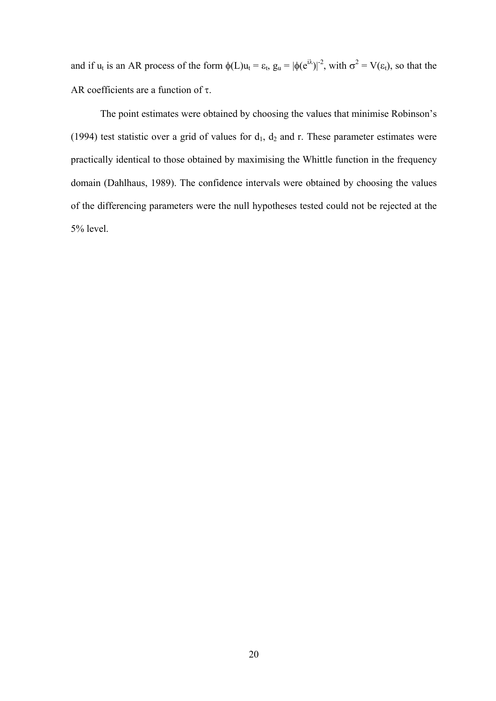and if  $u_t$  is an AR process of the form  $\phi(L)u_t = \varepsilon_t$ ,  $g_u = |\phi(e^{i\lambda})|^2$ , with  $\sigma^2 = V(\varepsilon_t)$ , so that the AR coefficients are a function of  $\tau$ .

The point estimates were obtained by choosing the values that minimise Robinson's (1994) test statistic over a grid of values for  $d_1$ ,  $d_2$  and r. These parameter estimates were practically identical to those obtained by maximising the Whittle function in the frequency domain (Dahlhaus, 1989). The confidence intervals were obtained by choosing the values of the differencing parameters were the null hypotheses tested could not be rejected at the 5% level.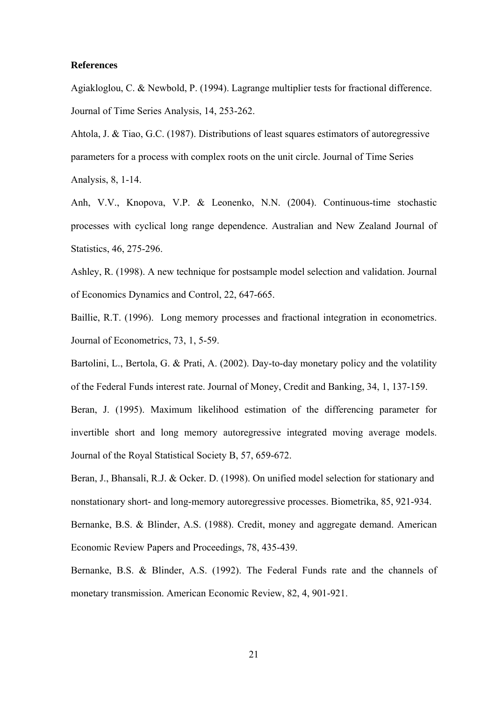#### **References**

Agiakloglou, C. & Newbold, P. (1994). Lagrange multiplier tests for fractional difference. Journal of Time Series Analysis, 14, 253-262.

Ahtola, J. & Tiao, G.C. (1987). Distributions of least squares estimators of autoregressive parameters for a process with complex roots on the unit circle. Journal of Time Series Analysis, 8, 1-14.

Anh, V.V., Knopova, V.P. & Leonenko, N.N. (2004). Continuous-time stochastic processes with cyclical long range dependence. Australian and New Zealand Journal of Statistics, 46, 275-296.

Ashley, R. (1998). A new technique for postsample model selection and validation. Journal of Economics Dynamics and Control, 22, 647-665.

Baillie, R.T. (1996). Long memory processes and fractional integration in econometrics. Journal of Econometrics, 73, 1, 5-59.

Bartolini, L., Bertola, G. & Prati, A. (2002). Day-to-day monetary policy and the volatility of the Federal Funds interest rate. Journal of Money, Credit and Banking, 34, 1, 137-159.

Beran, J. (1995). Maximum likelihood estimation of the differencing parameter for invertible short and long memory autoregressive integrated moving average models. Journal of the Royal Statistical Society B, 57, 659-672.

Beran, J., Bhansali, R.J. & Ocker. D. (1998). On unified model selection for stationary and nonstationary short- and long-memory autoregressive processes. Biometrika, 85, 921-934.

Bernanke, B.S. & Blinder, A.S. (1988). Credit, money and aggregate demand. American Economic Review Papers and Proceedings, 78, 435-439.

Bernanke, B.S. & Blinder, A.S. (1992). The Federal Funds rate and the channels of monetary transmission. American Economic Review, 82, 4, 901-921.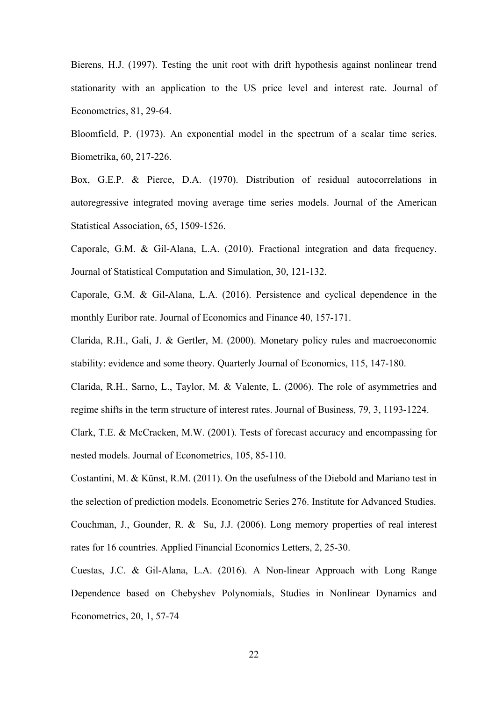Bierens, H.J. (1997). Testing the unit root with drift hypothesis against nonlinear trend stationarity with an application to the US price level and interest rate. Journal of Econometrics, 81, 29-64.

Bloomfield, P. (1973). An exponential model in the spectrum of a scalar time series. Biometrika, 60, 217-226.

Box, G.E.P. & Pierce, D.A. (1970). Distribution of residual autocorrelations in autoregressive integrated moving average time series models. Journal of the American Statistical Association, 65, 1509-1526.

Caporale, G.M. & Gil-Alana, L.A. (2010). Fractional integration and data frequency. Journal of Statistical Computation and Simulation, 30, 121-132.

Caporale, G.M. & Gil-Alana, L.A. (2016). Persistence and cyclical dependence in the monthly Euribor rate. Journal of Economics and Finance 40, 157-171.

Clarida, R.H., Gali, J. & Gertler, M. (2000). Monetary policy rules and macroeconomic stability: evidence and some theory. Quarterly Journal of Economics, 115, 147-180.

Clarida, R.H., Sarno, L., Taylor, M. & Valente, L. (2006). The role of asymmetries and regime shifts in the term structure of interest rates. Journal of Business, 79, 3, 1193-1224.

Clark, T.E. & McCracken, M.W. (2001). Tests of forecast accuracy and encompassing for nested models. Journal of Econometrics, 105, 85-110.

Costantini, M. & Künst, R.M. (2011). On the usefulness of the Diebold and Mariano test in the selection of prediction models. Econometric Series 276. Institute for Advanced Studies. Couchman, J., Gounder, R. & Su, J.J. (2006). Long memory properties of real interest rates for 16 countries. Applied Financial Economics Letters, 2, 25-30.

Cuestas, J.C. & Gil-Alana, L.A. (2016). A Non-linear Approach with Long Range Dependence based on Chebyshev Polynomials, Studies in Nonlinear Dynamics and Econometrics, 20, 1, 57-74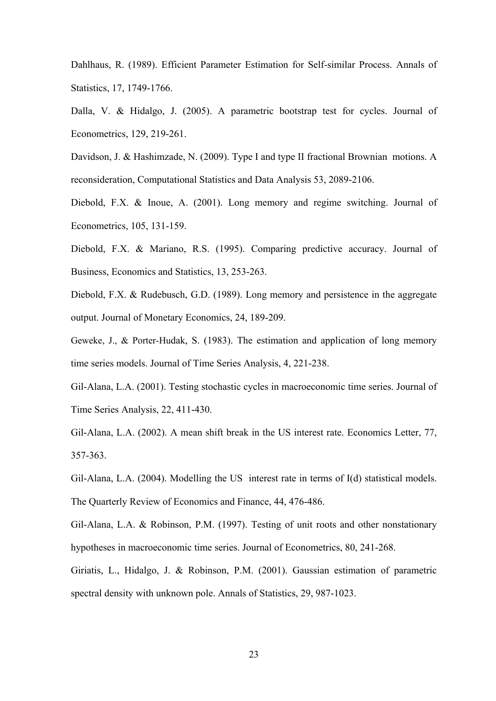Dahlhaus, R. (1989). Efficient Parameter Estimation for Self-similar Process. Annals of Statistics, 17, 1749-1766.

Dalla, V. & Hidalgo, J. (2005). A parametric bootstrap test for cycles. Journal of Econometrics, 129, 219-261.

Davidson, J. & Hashimzade, N. (2009). Type I and type II fractional Brownian motions. A reconsideration, Computational Statistics and Data Analysis 53, 2089-2106.

Diebold, F.X. & Inoue, A. (2001). Long memory and regime switching. Journal of Econometrics, 105, 131-159.

Diebold, F.X. & Mariano, R.S. (1995). Comparing predictive accuracy. Journal of Business, Economics and Statistics, 13, 253-263.

Diebold, F.X. & Rudebusch, G.D. (1989). Long memory and persistence in the aggregate output. Journal of Monetary Economics, 24, 189-209.

Geweke, J., & Porter-Hudak, S. (1983). The estimation and application of long memory time series models. Journal of Time Series Analysis, 4, 221-238.

Gil-Alana, L.A. (2001). Testing stochastic cycles in macroeconomic time series. Journal of Time Series Analysis, 22, 411-430.

Gil-Alana, L.A. (2002). A mean shift break in the US interest rate. Economics Letter, 77, 357-363.

Gil-Alana, L.A. (2004). Modelling the US interest rate in terms of I(d) statistical models. The Quarterly Review of Economics and Finance, 44, 476-486.

Gil-Alana, L.A. & Robinson, P.M. (1997). Testing of unit roots and other nonstationary hypotheses in macroeconomic time series. Journal of Econometrics, 80, 241-268.

Giriatis, L., Hidalgo, J. & Robinson, P.M. (2001). Gaussian estimation of parametric spectral density with unknown pole. Annals of Statistics, 29, 987-1023.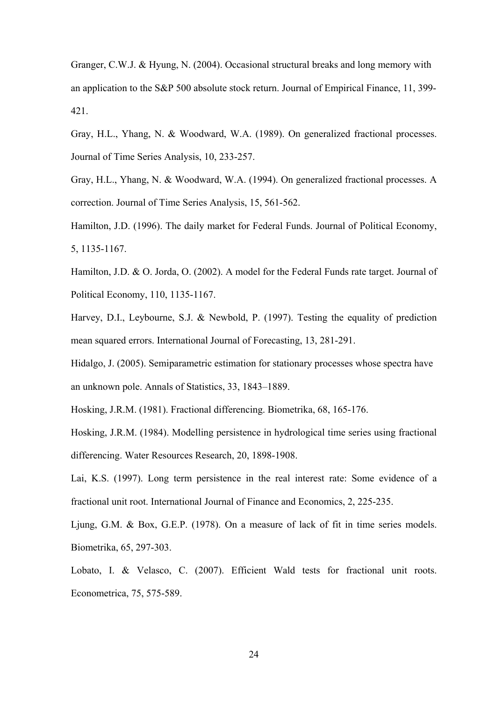Granger, C.W.J. & Hyung, N. (2004). Occasional structural breaks and long memory with an application to the S&P 500 absolute stock return. Journal of Empirical Finance, 11, 399- 421.

Gray, H.L., Yhang, N. & Woodward, W.A. (1989). On generalized fractional processes. Journal of Time Series Analysis, 10, 233-257.

Gray, H.L., Yhang, N. & Woodward, W.A. (1994). On generalized fractional processes. A correction. Journal of Time Series Analysis, 15, 561-562.

Hamilton, J.D. (1996). The daily market for Federal Funds. Journal of Political Economy, 5, 1135-1167.

Hamilton, J.D. & O. Jorda, O. (2002). A model for the Federal Funds rate target. Journal of Political Economy, 110, 1135-1167.

Harvey, D.I., Leybourne, S.J. & Newbold, P. (1997). Testing the equality of prediction mean squared errors. International Journal of Forecasting, 13, 281-291.

Hidalgo, J. (2005). Semiparametric estimation for stationary processes whose spectra have an unknown pole. Annals of Statistics, 33, 1843–1889.

Hosking, J.R.M. (1981). Fractional differencing. Biometrika, 68, 165-176.

Hosking, J.R.M. (1984). Modelling persistence in hydrological time series using fractional differencing. Water Resources Research, 20, 1898-1908.

Lai, K.S. (1997). Long term persistence in the real interest rate: Some evidence of a fractional unit root. International Journal of Finance and Economics, 2, 225-235.

Ljung, G.M. & Box, G.E.P. (1978). On a measure of lack of fit in time series models. Biometrika, 65, 297-303.

Lobato, I. & Velasco, C. (2007). Efficient Wald tests for fractional unit roots. Econometrica, 75, 575-589.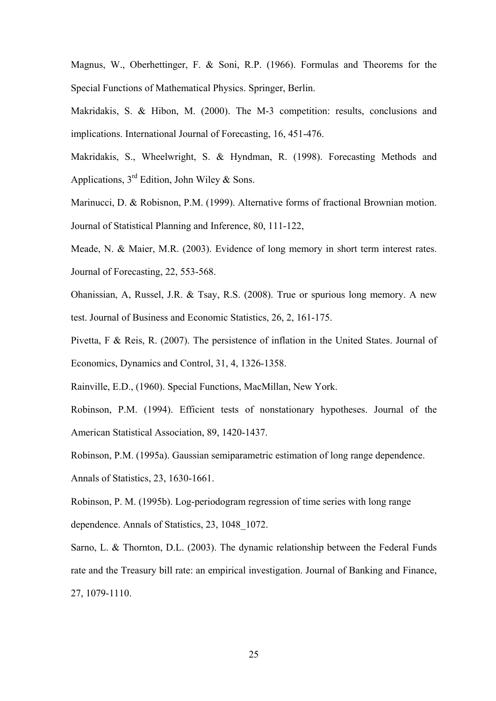Magnus, W., Oberhettinger, F. & Soni, R.P. (1966). Formulas and Theorems for the Special Functions of Mathematical Physics. Springer, Berlin.

Makridakis, S. & Hibon, M. (2000). The M-3 competition: results, conclusions and implications. International Journal of Forecasting, 16, 451-476.

Makridakis, S., Wheelwright, S. & Hyndman, R. (1998). Forecasting Methods and Applications,  $3<sup>rd</sup>$  Edition, John Wiley & Sons.

Marinucci, D. & Robisnon, P.M. (1999). Alternative forms of fractional Brownian motion. Journal of Statistical Planning and Inference, 80, 111-122,

Meade, N. & Maier, M.R. (2003). Evidence of long memory in short term interest rates. Journal of Forecasting, 22, 553-568.

Ohanissian, A, Russel, J.R. & Tsay, R.S. (2008). True or spurious long memory. A new test. Journal of Business and Economic Statistics, 26, 2, 161-175.

Pivetta, F & Reis, R. (2007). The persistence of inflation in the United States. Journal of Economics, Dynamics and Control, 31, 4, 1326-1358.

Rainville, E.D., (1960). Special Functions, MacMillan, New York.

Robinson, P.M. (1994). Efficient tests of nonstationary hypotheses. Journal of the American Statistical Association, 89, 1420-1437.

Robinson, P.M. (1995a). Gaussian semiparametric estimation of long range dependence.

Annals of Statistics, 23, 1630-1661.

Robinson, P. M. (1995b). Log-periodogram regression of time series with long range dependence. Annals of Statistics, 23, 1048\_1072.

Sarno, L. & Thornton, D.L. (2003). The dynamic relationship between the Federal Funds rate and the Treasury bill rate: an empirical investigation. Journal of Banking and Finance, 27, 1079-1110.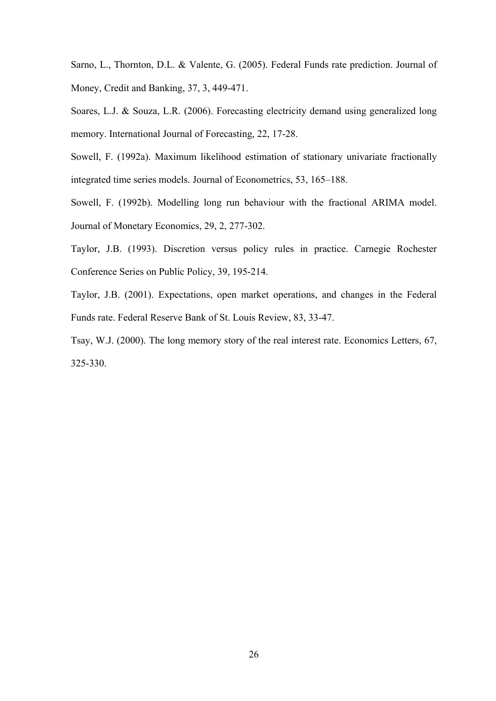Sarno, L., Thornton, D.L. & Valente, G. (2005). Federal Funds rate prediction. Journal of Money, Credit and Banking, 37, 3, 449-471.

Soares, L.J. & Souza, L.R. (2006). Forecasting electricity demand using generalized long memory. International Journal of Forecasting, 22, 17-28.

Sowell, F. (1992a). Maximum likelihood estimation of stationary univariate fractionally integrated time series models. Journal of Econometrics, 53, 165–188.

Sowell, F. (1992b). Modelling long run behaviour with the fractional ARIMA model. Journal of Monetary Economics, 29, 2, 277-302.

Taylor, J.B. (1993). Discretion versus policy rules in practice. Carnegie Rochester Conference Series on Public Policy, 39, 195-214.

Taylor, J.B. (2001). Expectations, open market operations, and changes in the Federal Funds rate. Federal Reserve Bank of St. Louis Review, 83, 33-47.

Tsay, W.J. (2000). The long memory story of the real interest rate. Economics Letters, 67, 325-330.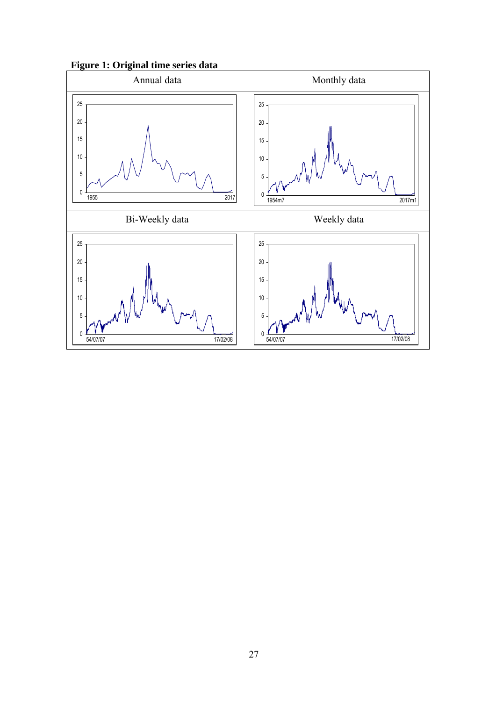**Figure 1: Original time series data** 

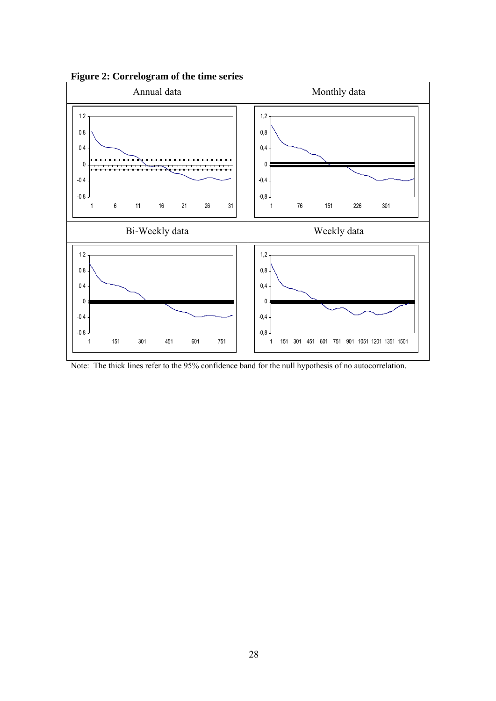

**Figure 2: Correlogram of the time series** 

Note: The thick lines refer to the 95% confidence band for the null hypothesis of no autocorrelation.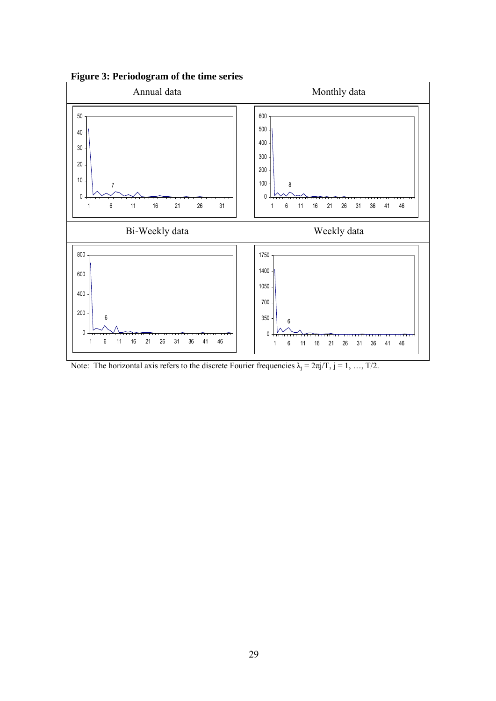

**Figure 3: Periodogram of the time series** 

Note: The horizontal axis refers to the discrete Fourier frequencies  $\lambda_j = 2\pi j/T$ ,  $j = 1, ..., T/2$ .